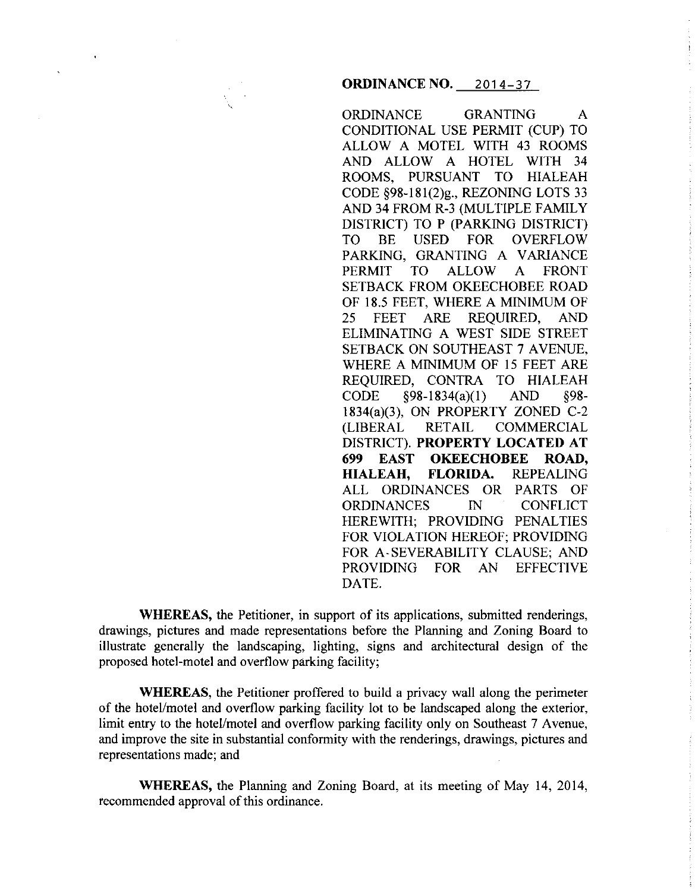### **ORDINANCE NO.** 2014-37

ORDINANCE GRANTING A CONDITIONAL USE PERMIT (CUP) TO ALLOW A MOTEL WITH 43 ROOMS AND ALLOW A HOTEL WITH 34 ROOMS, PURSUANT TO HIALEAH CODE §98-181(2)g., REZONING LOTS 33 AND 34 FROM R-3 (MULTIPLE FAMILY DISTRICT) TO P (PARKING DISTRICT) TO BE USED FOR OVERFLOW PARKING, GRANTING A VARIANCE PERMIT TO ALLOW A FRONT SETBACK FROM OKEECHOBEE ROAD OF 18.5 FEET, WHERE A MINIMUM OF 25 FEET ARE REQUIRED, AND ELIMINATING A WEST SIDE STREET SETBACK ON SOUTHEAST 7 AVENUE, WHERE A MINIMUM OF 15 FEET ARE REQUIRED, CONTRA TO HIALEAH CODE §98-1834(a)(l) AND §98- 1834(a)(3), ON PROPERTY ZONED C-2 (LIBERAL RETAIL COMMERCIAL DISTRICT). **PROPERTY LOCATED AT 699 EAST OKEECHOBEE ROAD, HIALEAH, FLORIDA.** REPEALING ALL ORDINANCES OR PARTS OF ORDINANCES IN CONFLICT HEREWITH; PROVIDING PENALTIES FOR VIOLATION HEREOF; PROVIDING FOR A-SEVERABILITY CLAUSE; AND PROVIDING FOR AN EFFECTIVE DATE.

**WHEREAS,** the Petitioner, in support of its applications, submitted renderings, drawings, pictures and made representations before the Planning and Zoning Board to illustrate generally the landscaping, lighting, signs and architectural design of the proposed hotel-motel and overflow parking facility;

**WHEREAS,** the Petitioner proffered to build a privacy wall along the perimeter of the hotel/motel and overflow parking facility lot to be landscaped along the exterior, limit entry to the hotel/motel and overflow parking facility only on Southeast 7 Avenue, and improve the site in substantial conformity with the renderings, drawings, pictures and representations made; and

**WHEREAS,** the Planning and Zoning Board, at its meeting of May 14, 2014, recommended approval of this ordinance.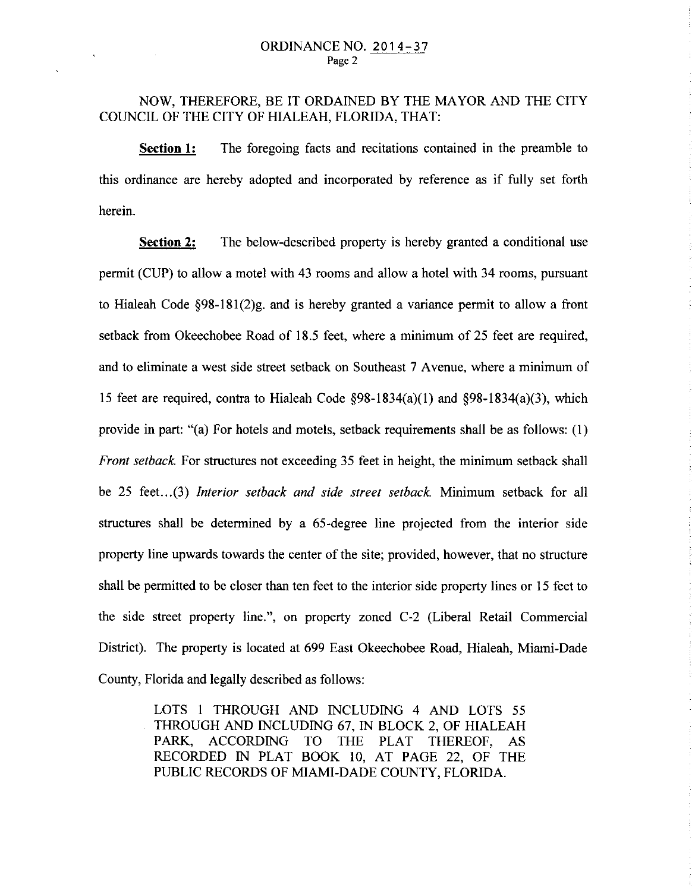# NOW, THEREFORE, BE IT ORDAINED BY THE MAYOR AND THE CITY COUNCIL OF THE CITY OF HIALEAH, FLORIDA, THAT:

**Section 1:** The foregoing facts and recitations contained in the preamble to this ordinance are hereby adopted and incorporated by reference as if fully set forth herein.

**Section 2:** The below-described property is hereby granted a conditional use permit (CUP) to allow a motel with 43 rooms and allow a hotel with 34 rooms, pursuant to Hialeah Code  $\S 98-181(2)g$ , and is hereby granted a variance permit to allow a front setback from Okeechobee Road of 18.5 feet, where a minimum of 25 feet are required, and to eliminate a west side street setback on Southeast 7 Avenue, where a minimum of 15 feet are required, contra to Hialeah Code  $\delta$ 98-1834(a)(1) and  $\delta$ 98-1834(a)(3), which provide in part: "(a) For hotels and motels, setback requirements shall be as follows: (I) *Front setback.* For structures not exceeding 35 feet in height, the minimum setback shall be 25 feet... (3) *Interior setback and side street setback.* Minimum setback for all structures shall be determined by a 65-degree line projected from the interior side property line upwards towards the center of the site; provided, however, that no structure shall be permitted to be closer than ten feet to the interior side property lines or 15 feet to the side street property line.", on property zoned C-2 (Liberal Retail Commercial District). The property is located at 699 East Okeechobee Road, Hialeah, Miami-Dade County, Florida and legally described as follows:

> LOTS I THROUGH AND INCLUDING 4 AND LOTS 55 THROUGH AND INCLUDING 67, IN BLOCK 2, OF HIALEAH PARK, ACCORDING TO THE PLAT THEREOF, AS RECORDED IN PLAT BOOK 10, AT PAGE 22, OF THE PUBLIC RECORDS OF MIAMI-DADE COUNTY, FLORIDA.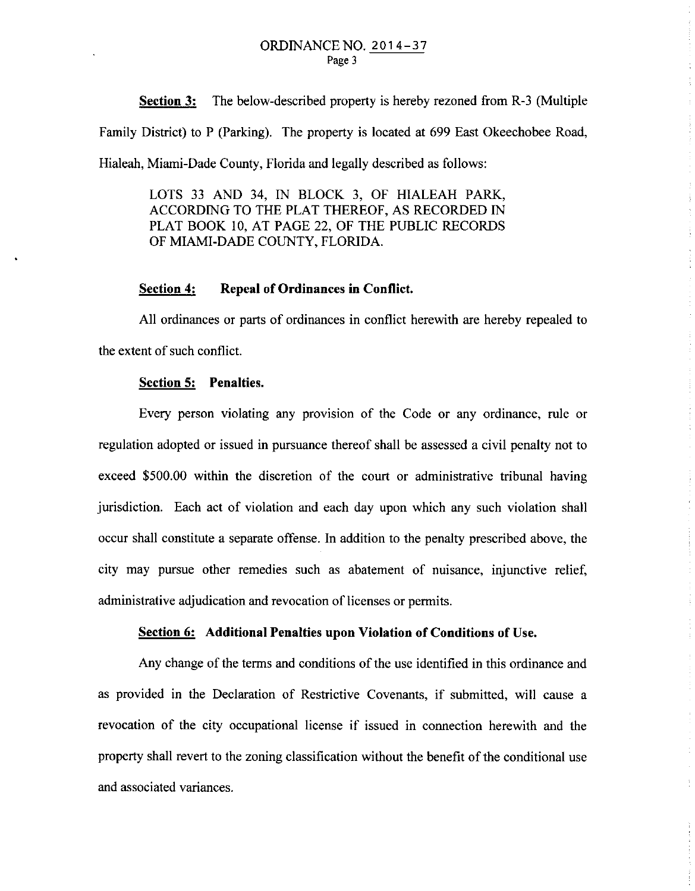**Section 3:** The below-described property is hereby rezoned from R-3 (Multiple Family District) to P (Parking). The property is located at 699 East Okeechobee Road, Hialeah, Miami-Dade County, Florida and legally described as follows:

LOTS 33 AND 34, IN BLOCK 3, OF HIALEAH PARK, ACCORDING TO THE PLAT THEREOF, AS RECORDED IN PLAT BOOK 10, AT PAGE 22, OF THE PUBLIC RECORDS OF MIAMI-DADE COUNTY, FLORIDA.

#### **Section 4: Repeal of Ordinances in Conflict.**

All ordinances or parts of ordinances in conflict herewith are hereby repealed to the extent of such conflict.

#### **Section 5: Penalties.**

Every person violating any provision of the Code or any ordinance, rule or regulation adopted or issued in pursuance thereof shall be assessed a civil penalty not to exceed \$500.00 within the discretion of the court or administrative tribunal having jurisdiction. Each act of violation and each day upon which any such violation shall occur shall constitute a separate offense. In addition to the penalty prescribed above, the city may pursue other remedies such as abatement of nuisance, injunctive relief, administrative adjudication and revocation of licenses or permits.

#### **Section 6: Additional Penalties upon Violation of Conditions of** Use.

Any change of the terms and conditions of the use identified in this ordinance and as provided in the Declaration of Restrictive Covenants, if submitted, will cause a revocation of the city occupational license if issued in connection herewith and the property shall revert to the zoning classification without the benefit of the conditional use and associated variances.